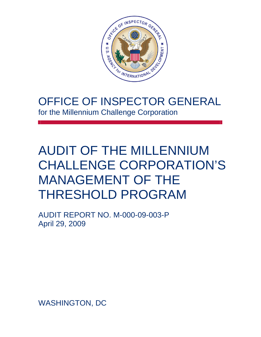

### OFFICE OF INSPECTOR GENERAL for the Millennium Challenge Corporation

### AUDIT OF THE MILLENNIUM CHALLENGE CORPORATION'S MANAGEMENT OF THE THRESHOLD PROGRAM

AUDIT REPORT NO. M-000-09-003-P April 29, 2009

WASHINGTON, DC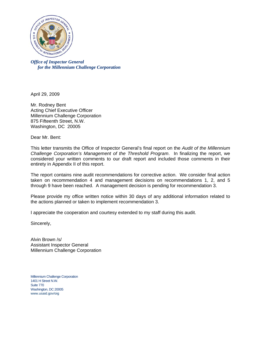

*Office of Inspector General for the Millennium Challenge Corporation* 

April 29, 2009

Mr. Rodney Bent Acting Chief Executive Officer Millennium Challenge Corporation 875 Fifteenth Street, N.W. Washington, DC 20005

Dear Mr. Bent:

This letter transmits the Office of Inspector General's final report on the *Audit of the Millennium Challenge Corporation's Management of the Threshold Program*. In finalizing the report, we considered your written comments to our draft report and included those comments in their entirety in Appendix II of this report.

The report contains nine audit recommendations for corrective action. We consider final action taken on recommendation 4 and management decisions on recommendations 1, 2, and 5 through 9 have been reached. A management decision is pending for recommendation 3.

Please provide my office written notice within 30 days of any additional information related to the actions planned or taken to implement recommendation 3.

I appreciate the cooperation and courtesy extended to my staff during this audit.

Sincerely,

Alvin Brown /s/ Assistant Inspector General Millennium Challenge Corporation

Millennium Challenge Corporation 1401 H Street N.W. Suite 770 Washington, DC 20005 www.usaid.gov/oig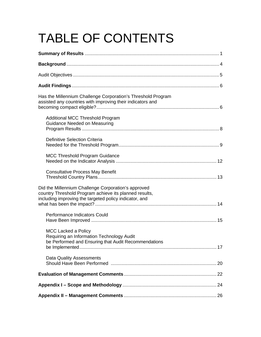# TABLE OF CONTENTS

| Has the Millennium Challenge Corporation's Threshold Program<br>assisted any countries with improving their indicators and                                              |
|-------------------------------------------------------------------------------------------------------------------------------------------------------------------------|
| Additional MCC Threshold Program<br>Guidance Needed on Measuring                                                                                                        |
| <b>Definitive Selection Criteria</b>                                                                                                                                    |
| <b>MCC Threshold Program Guidance</b>                                                                                                                                   |
| <b>Consultative Process May Benefit</b>                                                                                                                                 |
| Did the Millennium Challenge Corporation's approved<br>country Threshold Program achieve its planned results,<br>including improving the targeted policy indicator, and |
| Performance Indicators Could                                                                                                                                            |
| <b>MCC Lacked a Policy</b><br>Requiring an Information Technology Audit<br>be Performed and Ensuring that Audit Recommendations                                         |
| <b>Data Quality Assessments</b>                                                                                                                                         |
|                                                                                                                                                                         |
|                                                                                                                                                                         |
|                                                                                                                                                                         |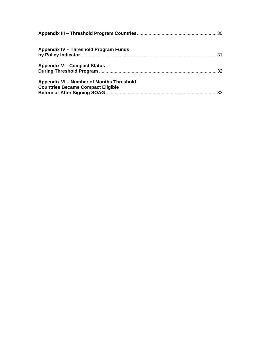| Appendix IV - Threshold Program Funds                                                |  |
|--------------------------------------------------------------------------------------|--|
| <b>Appendix V - Compact Status</b>                                                   |  |
| Appendix VI - Number of Months Threshold<br><b>Countries Became Compact Eligible</b> |  |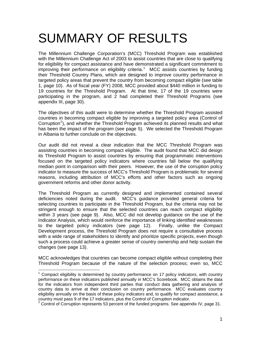## SUMMARY OF RESULTS

The Millennium Challenge Corporation's (MCC) Threshold Program was established with the Millennium Challenge Act of 2003 to assist countries that are close to qualifying for eligibility for compact assistance and have demonstrated a significant commitment to improving their performance on eligibility criteria.<sup>[1](#page-4-0)</sup> MCC assists countries by funding their Threshold Country Plans, which are designed to improve country performance in targeted policy areas that prevent the country from becoming compact eligible (see table 1, page 10). As of fiscal year (FY) 2008, MCC provided about \$440 million in funding to 19 countries for the Threshold Program. At that time, 17 of the 19 countries were participating in the program, and 2 had completed their Threshold Programs (see appendix III, page 30).

The objectives of this audit were to determine whether the Threshold Program assisted countries in becoming compact eligible by improving a targeted policy area (Control of Corruption<sup>[2](#page-4-1)</sup>), and whether the Threshold Program achieved its planned results and what has been the impact of the program (see page 5). We selected the Threshold Program in Albania to further conclude on the objectives.

Our audit did not reveal a clear indication that the MCC Threshold Program was assisting countries in becoming compact eligible. The audit found that MCC did design its Threshold Program to assist countries by ensuring that programmatic interventions focused on the targeted policy indicators where countries fall below the qualifying median point in comparison with their peers. However, the use of the corruption policy indicator to measure the success of MCC's Threshold Program is problematic for several reasons, including attribution of MCC's efforts and other factors such as ongoing government reforms and other donor activity.

The Threshold Program as currently designed and implemented contained several deficiencies noted during the audit. MCC's guidance provided general criteria for selecting countries to participate in the Threshold Program, but the criteria may not be stringent enough to ensure that the selected countries can reach compact eligibility within 3 years (see page 9). Also, MCC did not develop guidance on the use of the Indicator Analysis, which would reinforce the importance of linking identified weaknesses to the targeted policy indicators (see page 12). Finally, unlike the Compact Development process, the Threshold Program does not require a consultative process with a wide range of stakeholders to identify and prioritize specific projects, even though such a process could achieve a greater sense of country ownership and help sustain the changes (see page 13).

MCC acknowledges that countries can become compact eligible without completing their Threshold Program because of the nature of the selection process; even so, MCC

<span id="page-4-0"></span>**TECOM 2012**<br><sup>1</sup> Compact eligibility is determined by country performance on 17 policy indicators, with country performance on these indicators published annually in MCC's Scorebook. MCC obtains the data for the indicators from independent third parties that conduct data gathering and analysis of country data to arrive at their conclusion on country performance. MCC evaluates country eligibility annually on the basis of these policy indicators and, to qualify for compact assistance, a country must pass 9 of the 17 indicators, plus the Control of Corruption indicator.<br><sup>2</sup> Central of Corruption represents 52 persont of the funded pregrams. See appen

<span id="page-4-1"></span>Control of Corruption represents 53 percent of the funded programs. See appendix IV, page 31.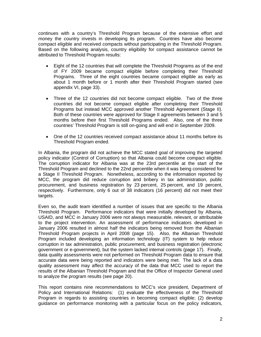continues with a country's Threshold Program because of the extensive effort and money the country invests in developing its program. Countries have also become compact eligible and received compacts without participating in the Threshold Program. Based on the following analysis, country eligibility for compact assistance cannot be attributed to Threshold Program results:

- Eight of the 12 countries that will complete the Threshold Programs as of the end of FY 2009 became compact eligible before completing their Threshold Programs. Three of the eight countries became compact eligible as early as about 1 month before or 1 month after their Threshold Program started (see appendix VI, page 33).
- Three of the 12 countries did not become compact eligible. Two of the three countries did not become compact eligible after completing their Threshold Programs but instead MCC approved another Threshold Agreement (Stage II). Both of these countries were approved for Stage II agreements between 3 and 5 months before their first Threshold Programs ended. Also, one of the three countries' Threshold Program is still on-going and will end in September 2009.
- One of the 12 countries received compact assistance about 11 months before its Threshold Program ended.

In Albania, the program did not achieve the MCC stated goal of improving the targeted policy indicator (Control of Corruption) so that Albania could become compact eligible. The corruption indicator for Albania was at the 23rd percentile at the start of the Threshold Program and declined to the 22nd percentile when it was being considered for a Stage II Threshold Program. Nonetheless, according to the information reported by MCC, the program did reduce corruption and bribery in tax administration, public procurement, and business registration by 23 percent, 25 percent, and 19 percent, respectively. Furthermore, only 6 out of 38 indicators (16 percent) did not meet their targets.

Even so, the audit team identified a number of issues that are specific to the Albania Threshold Program. Performance indicators that were initially developed by Albania, USAID, and MCC in January 2006 were not always measurable, relevant, or attributable to the project intervention. An assessment of performance indicators developed in January 2006 resulted in almost half the indicators being removed from the Albanian Threshold Program projects in April 2008 (page 15). Also, the Albanian Threshold Program included developing an information technology (IT) system to help reduce corruption in tax administration, public procurement, and business registration (electronic government or e-government), but the system lacked internal controls (page 17). Finally, data quality assessments were not performed on Threshold Program data to ensure that accurate data were being reported and indicators were being met. The lack of a data quality assessment may affect the accuracy of the data that MCC used to report the results of the Albanian Threshold Program and that the Office of Inspector General used to analyze the program results (see page 20).

This report contains nine recommendations to MCC's vice president, Department of Policy and International Relations: (1) evaluate the effectiveness of the Threshold Program in regards to assisting countries in becoming compact eligible; (2) develop guidance on performance monitoring with a particular focus on the policy indicators,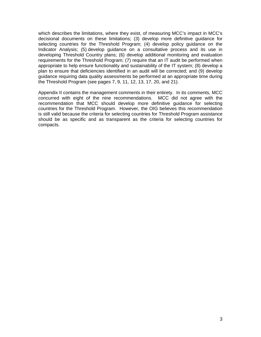which describes the limitations, where they exist, of measuring MCC's impact in MCC's decisional documents on these limitations; (3) develop more definitive guidance for selecting countries for the Threshold Program; (4) develop policy guidance on the Indicator Analysis; (5) develop guidance on a consultative process and its use in developing Threshold Country plans; (6) develop additional monitoring and evaluation requirements for the Threshold Program; (7) require that an IT audit be performed when appropriate to help ensure functionality and sustainability of the IT system; (8) develop a plan to ensure that deficiencies identified in an audit will be corrected; and (9) develop guidance requiring data quality assessments be performed at an appropriate time during the Threshold Program (see pages 7, 9, 11, 12, 13, 17, 20, and 21).

Appendix II contains the management comments in their entirety. In its comments, MCC concurred with eight of the nine recommendations. MCC did not agree with the recommendation that MCC should develop more definitive guidance for selecting countries for the Threshold Program. However, the OIG believes this recommendation is still valid because the criteria for selecting countries for Threshold Program assistance should be as specific and as transparent as the criteria for selecting countries for compacts.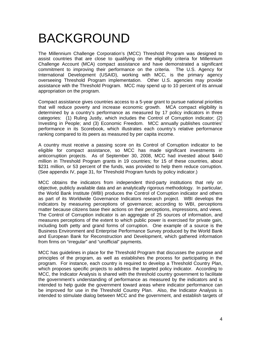## BACKGROUND

The Millennium Challenge Corporation's (MCC) Threshold Program was designed to assist countries that are close to qualifying on the eligibility criteria for Millennium Challenge Account (MCA) compact assistance and have demonstrated a significant commitment to improving their performance on the criteria. The U.S. Agency for International Development (USAID), working with MCC, is the primary agency overseeing Threshold Program implementation. Other U.S. agencies may provide assistance with the Threshold Program. MCC may spend up to 10 percent of its annual appropriation on the program.

Compact assistance gives countries access to a 5-year grant to pursue national priorities that will reduce poverty and increase economic growth. MCA compact eligibility is determined by a country's performance as measured by 17 policy indicators in three categories: (1) Ruling Justly, which includes the Control of Corruption indicator; (2) Investing in People; and (3) Economic Freedom. MCC annually publishes countries' performance in its Scorebook, which illustrates each country's relative performance ranking compared to its peers as measured by per capita income.

A country must receive a passing score on its Control of Corruption indicator to be eligible for compact assistance, so MCC has made significant investments in anticorruption projects. As of September 30, 2008, MCC had invested about \$440 million in Threshold Program grants in 19 countries; for 15 of these countries, about \$231 million, or 53 percent of the funds, was provided to help them reduce corruption. (See appendix IV, page 31, for Threshold Program funds by policy indicator.)

MCC obtains the indicators from independent third-party institutions that rely on objective, publicly available data and an analytically rigorous methodology. In particular, the World Bank Institute (WBI) produces the Control of Corruption indicator and others as part of its Worldwide Governance Indicators research project. WBI develops the indicators by measuring perceptions of governance; according to WBI, perceptions matter because citizens base their actions on their perceptions, impressions, and views. The Control of Corruption indicator is an aggregate of 25 sources of information, and measures perceptions of the extent to which public power is exercised for private gain, including both petty and grand forms of corruption. One example of a source is the Business Environment and Enterprise Performance Survey produced by the World Bank and European Bank for Reconstruction and Development, which gathered information from firms on "irregular" and "unofficial" payments.

MCC has guidelines in place for the Threshold Program that discusses the purpose and principles of the program, as well as establishes the process for participating in the program. For instance, each country is required to develop a Threshold Country Plan, which proposes specific projects to address the targeted policy indicator. According to MCC, the Indicator Analysis is shared with the threshold country government to facilitate the government's understanding of performance as measured by the indicators and is intended to help guide the government toward areas where indicator performance can be improved for use in the Threshold Country Plan. Also, the Indicator Analysis is intended to stimulate dialog between MCC and the government, and establish targets of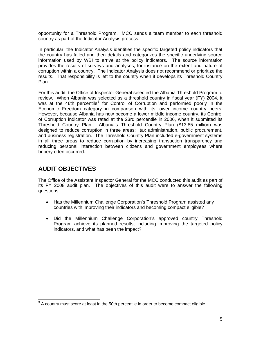opportunity for a Threshold Program. MCC sends a team member to each threshold country as part of the Indicator Analysis process.

In particular, the Indicator Analysis identifies the specific targeted policy indicators that the country has failed and then details and categorizes the specific underlying source information used by WBI to arrive at the policy indicators. The source information provides the results of surveys and analyses, for instance on the extent and nature of corruption within a country. The Indicator Analysis does not recommend or prioritize the results. That responsibility is left to the country when it develops its Threshold Country Plan.

For this audit, the Office of Inspector General selected the Albania Threshold Program to review. When Albania was selected as a threshold country in fiscal year (FY) 2004, it was at the 46th percentile<sup>[3](#page-8-0)</sup> for Control of Corruption and performed poorly in the Economic Freedom category in comparison with its lower income country peers. However, because Albania has now become a lower middle income country, its Control of Corruption indicator was rated at the 23rd percentile in 2006, when it submitted its Threshold Country Plan. Albania's Threshold Country Plan (\$13.85 million) was designed to reduce corruption in three areas: tax administration, public procurement, and business registration. The Threshold Country Plan included e-government systems in all three areas to reduce corruption by increasing transaction transparency and reducing personal interaction between citizens and government employees where bribery often occurred.

#### **AUDIT OBJECTIVES**

The Office of the Assistant Inspector General for the MCC conducted this audit as part of its FY 2008 audit plan. The objectives of this audit were to answer the following questions:

- Has the Millennium Challenge Corporation's Threshold Program assisted any countries with improving their indicators and becoming compact eligible?
- Did the Millennium Challenge Corporation's approved country Threshold Program achieve its planned results, including improving the targeted policy indicators, and what has been the impact?

<span id="page-8-0"></span>  $3$  A country must score at least in the 50th percentile in order to become compact eligible.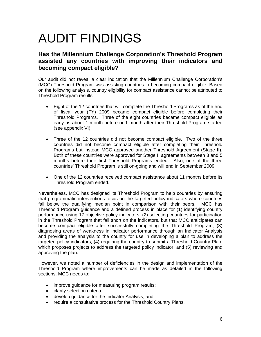# AUDIT FINDINGS

#### **Has the Millennium Challenge Corporation's Threshold Program assisted any countries with improving their indicators and becoming compact eligible?**

Our audit did not reveal a clear indication that the Millennium Challenge Corporation's (MCC) Threshold Program was assisting countries in becoming compact eligible. Based on the following analysis, country eligibility for compact assistance cannot be attributed to Threshold Program results:

- Eight of the 12 countries that will complete the Threshold Programs as of the end of fiscal year (FY) 2009 became compact eligible before completing their Threshold Programs. Three of the eight countries became compact eligible as early as about 1 month before or 1 month after their Threshold Program started (see appendix VI).
- Three of the 12 countries did not become compact eligible. Two of the three countries did not become compact eligible after completing their Threshold Programs but instead MCC approved another Threshold Agreement (Stage II). Both of these countries were approved for Stage II agreements between 3 and 5 months before their first Threshold Programs ended. Also, one of the three countries' Threshold Program is still on-going and will end in September 2009.
- One of the 12 countries received compact assistance about 11 months before its Threshold Program ended.

Nevertheless, MCC has designed its Threshold Program to help countries by ensuring that programmatic interventions focus on the targeted policy indicators where countries fall below the qualifying median point in comparison with their peers. MCC has Threshold Program guidance and a defined process in place for (1) identifying country performance using 17 objective policy indicators; (2) selecting countries for participation in the Threshold Program that fall short on the indicators, but that MCC anticipates can become compact eligible after successfully completing the Threshold Program; (3) diagnosing areas of weakness in indicator performance through an Indicator Analysis and providing the analysis to the country for use in developing a plan to address the targeted policy indicators; (4) requiring the country to submit a Threshold Country Plan, which proposes projects to address the targeted policy indicator; and (5) reviewing and approving the plan.

However, we noted a number of deficiencies in the design and implementation of the Threshold Program where improvements can be made as detailed in the following sections. MCC needs to:

- improve guidance for measuring program results;
- clarify selection criteria;
- develop guidance for the Indicator Analysis; and,
- require a consultative process for the Threshold Country Plans.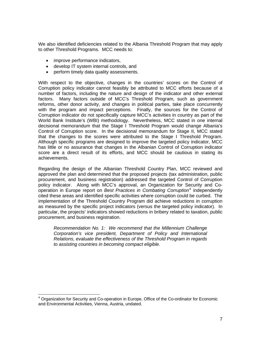We also identified deficiencies related to the Albania Threshold Program that may apply to other Threshold Programs. MCC needs to:

- improve performance indicators,
- develop IT system internal controls, and
- perform timely data quality assessments.

With respect to the objective, changes in the countries' scores on the Control of Corruption policy indicator cannot feasibly be attributed to MCC efforts because of a number of factors, including the nature and design of the indicator and other external factors. Many factors outside of MCC's Threshold Program, such as government reforms, other donor activity, and changes in political parties, take place concurrently with the program and impact perceptions. Finally, the sources for the Control of Corruption indicator do not specifically capture MCC's activities in country as part of the World Bank Institute's (WBI) methodology. Nevertheless, MCC stated in one internal decisional memorandum that the Stage I Threshold Program would change Albania's Control of Corruption score. In the decisional memorandum for Stage II, MCC stated that the changes to the scores were attributed to the Stage I Threshold Program. Although specific programs are designed to improve the targeted policy indicator, MCC has little or no assurance that changes in the Albanian Control of Corruption indicator score are a direct result of its efforts, and MCC should be cautious in stating its achievements.

Regarding the design of the Albanian Threshold Country Plan, MCC reviewed and approved the plan and determined that the proposed projects (tax administration, public procurement, and business registration) addressed the targeted Control of Corruption policy indicator. Along with MCC's approval, an Organization for Security and Cooperation in Europe report on *Best Practices in Combating Corruption*[4](#page-10-0) independently cited these areas and identified specific activities where corruption could be curbed. The implementation of the Threshold Country Program did achieve reductions in corruption as measured by the specific project indicators (versus the targeted policy indicator). In particular, the projects' indicators showed reductions in bribery related to taxation, public procurement, and business registration.

*Recommendation No. 1: We recommend that the Millennium Challenge Corporation's vice president, Department of Policy and International Relations, evaluate the effectiveness of the Threshold Program in regards to assisting countries in becoming compact eligible.* 

-

<span id="page-10-0"></span><sup>&</sup>lt;sup>4</sup> Organization for Security and Co-operation in Europe, Office of the Co-ordinator for Economic and Environmental Activities, Vienna, Austria, undated.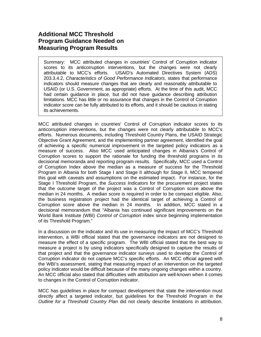#### **Additional MCC Threshold Program Guidance Needed on Measuring Program Results**

Summary: MCC attributed changes in countries' Control of Corruption indicator scores to its anticorruption interventions, but the changes were not clearly attributable to MCC's efforts. USAID's Automated Directives System (ADS) 203.3.4.2, *Characteristics of Good Performance Indicators*, states that performance indicators should measure changes that are clearly and reasonably attributable to USAID (or U.S. Government, as appropriate) efforts. At the time of this audit, MCC had certain guidance in place, but did not have guidance describing attribution limitations. MCC has little or no assurance that changes in the Control of Corruption indicator score can be fully attributed to its efforts, and it should be cautious in stating its achievements.

MCC attributed changes in countries' Control of Corruption indicator scores to its anticorruption interventions, but the changes were not clearly attributable to MCC's efforts. Numerous documents, including Threshold Country Plans, the USAID Strategic Objective Grant Agreement, and the implementing partner agreement, identified the goal of achieving a specific numerical improvement in the targeted policy indicators as a measure of success. Also MCC used anticipated changes in Albania's Control of Corruption scores to support the rationale for funding the threshold programs in its decisional memoranda and reporting program results. Specifically, MCC used a Control of Corruption Index above the median as a measure of success for the Threshold Program in Albania for both Stage I and Stage II although for Stage II, MCC tempered this goal with caveats and assumptions on the estimated impact. For instance, for the Stage I Threshold Program, the *Success Indicators* for the procurement project states that the outcome target of the project was a Control of Corruption score above the median in 24 months. A median score is required in order to be compact eligible. Also, the business registration project had the identical target of achieving a Control of Corruption score above the median in 24 months. In addition, MCC stated in a decisional memorandum that "Albania has continued significant improvements on the World Bank Institute (WBI) *Control of Corruption* index since beginning implementation of its Threshold Program."

In a discussion on the indicator and its use in measuring the impact of MCC's Threshold intervention, a WBI official stated that the governance indicators are not designed to measure the effect of a specific program. The WBI official stated that the best way to measure a project is by using indicators specifically designed to capture the results of that project and that the governance indicator surveys used to develop the Control of Corruption indicator do not capture MCC's specific efforts. An MCC official agreed with the WBI's assessment, stating that measuring impact of an intervention on the targeted policy indicator would be difficult because of the many ongoing changes within a country. An MCC official also stated that difficulties with attribution are well-known when it comes to changes in the Control of Corruption indicator.

MCC has guidelines in place for compact development that state the intervention must directly affect a targeted indicator, but guidelines for the Threshold Program in the *Outline for a Threshold Country Plan* did not clearly describe limitations in attribution.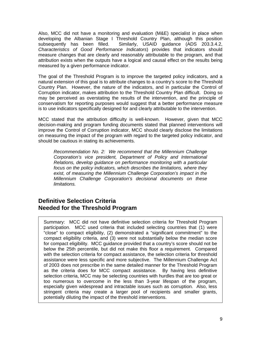Also, MCC did not have a monitoring and evaluation (M&E) specialist in place when developing the Albanian Stage I Threshold Country Plan, although this position subsequently has been filled. Similarly, USAID guidance (ADS 203.3.4.2, *Characteristics of Good Performance Indicators*) provides that indicators should measure changes that are clearly and reasonably attributable to the program, and that attribution exists when the outputs have a logical and causal effect on the results being measured by a given performance indicator.

The goal of the Threshold Program is to improve the targeted policy indicators, and a natural extension of this goal is to attribute changes to a country's score to the Threshold Country Plan. However, the nature of the indicators, and in particular the Control of Corruption indicator, makes attribution to the Threshold Country Plan difficult. Doing so may be perceived as overstating the results of the intervention, and the principle of conservatism for reporting purposes would suggest that a better performance measure is to use indicators specifically designed for and clearly attributable to the intervention.

MCC stated that the attribution difficulty is well-known. However, given that MCC decision-making and program funding documents stated that planned interventions will improve the Control of Corruption indicator, MCC should clearly disclose the limitations on measuring the impact of the program with regard to the targeted policy indicator, and should be cautious in stating its achievements.

*Recommendation No. 2: We recommend that the Millennium Challenge Corporation's vice president, Department of Policy and International Relations, develop guidance on performance monitoring with a particular focus on the policy indicators, which describes the limitations, where they exist, of measuring the Millennium Challenge Corporation's impact in the Millennium Challenge Corporation's decisional documents on these limitations.*

#### **Definitive Selection Criteria Needed for the Threshold Program**

Summary: MCC did not have definitive selection criteria for Threshold Program participation. MCC used criteria that included selecting countries that (1) were "close" to compact eligibility, (2) demonstrated a "significant commitment" to the compact eligibility criteria, and (3) were not substantially below the median score for compact eligibility. MCC guidance provided that a country's score should not be below the 25th percentile, but did not make this floor a requirement. Compared with the selection criteria for compact assistance, the selection criteria for threshold assistance were less specific and more subjective. The Millennium Challenge Act of 2003 does not prescribe in the same detailed manner for the Threshold Program as the criteria does for MCC compact assistance. By having less definitive selection criteria, MCC may be selecting countries with hurdles that are too great or too numerous to overcome in the less than 3-year lifespan of the program, especially given widespread and intractable issues such as corruption. Also, less stringent criteria may create a larger pool of recipients and smaller grants, potentially diluting the impact of the threshold interventions.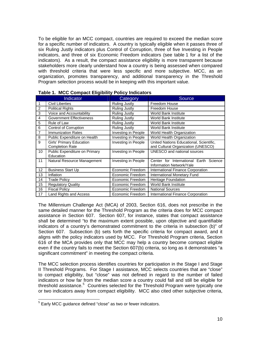To be eligible for an MCC compact, countries are required to exceed the median score for a specific number of indicators. A country is typically eligible when it passes three of six Ruling Justly indicators plus Control of Corruption, three of five Investing in People indicators, and three of six Economic Freedom indicators (see table 1 for a list of the indicators). As a result, the compact assistance eligibility is more transparent because stakeholders more clearly understand how a country is being assessed when compared with threshold criteria that were less specific and more subjective. MCC, as an organization, promotes transparency, and additional transparency in the Threshold Program selection process would be in keeping with this important value.

|                | Indicator                       | Category             | Source                                  |  |
|----------------|---------------------------------|----------------------|-----------------------------------------|--|
| 1              | <b>Civil Liberties</b>          | <b>Ruling Justly</b> | Freedom House                           |  |
| $\overline{2}$ | <b>Political Rights</b>         | <b>Ruling Justly</b> | Freedom House                           |  |
| 3              | Voice and Accountability        | <b>Ruling Justly</b> | <b>World Bank Institute</b>             |  |
| 4              | <b>Government Effectiveness</b> | <b>Ruling Justly</b> | World Bank Institute                    |  |
| 5              | Rule of Law                     | <b>Ruling Justly</b> | <b>World Bank Institute</b>             |  |
| 6              | Control of Corruption           | <b>Ruling Justly</b> | <b>World Bank Institute</b>             |  |
| $\overline{7}$ | <b>Immunization Rates</b>       | Investing in People  | World Health Organization               |  |
| 8              | Public Expenditure on Health    | Investing in People  | World Health Organization               |  |
| 9              | Girls' Primary Education        | Investing in People  | United Nations Educational, Scientific, |  |
|                | <b>Completion Rate</b>          |                      | and Cultural Organization (UNESCO)      |  |
| 10             | Public Expenditure on Primary   | Investing in People  | UNESCO and national sources             |  |
|                | Education                       |                      |                                         |  |
| 11             | Natural Resource Management     | Investing in People  | Center for International Earth Science  |  |
|                |                                 |                      | Information Network/Yale                |  |
| 12             | <b>Business Start Up</b>        | Economic Freedom     | International Finance Corporation       |  |
| 13             | Inflation                       | Economic Freedom     | International Monetary Fund             |  |
| 14             | <b>Trade Policy</b>             | Economic Freedom     | Heritage Foundation                     |  |
| 15             | <b>Regulatory Quality</b>       | Economic Freedom     | <b>World Bank Institute</b>             |  |
| 16             | <b>Fiscal Policy</b>            | Economic Freedom     | <b>National Sources</b>                 |  |
| 17             | Land Rights and Access          | Economic Freedom     | International Finance Corporation       |  |

**Table 1. MCC Compact Eligibility Policy Indicators** 

The Millennium Challenge Act (MCA) of 2003, Section 616, does not prescribe in the same detailed manner for the Threshold Program as the criteria does for MCC compact assistance in Section 607. Section 607, for instance, states that compact assistance shall be determined "to the maximum extent possible, upon objective and quantifiable indicators of a country's demonstrated commitment to the criteria in subsection (b)" of Section 607. Subsection (b) sets forth the specific criteria for compact award, and it aligns with the policy indicators used by MCC. For Threshold Program criteria, Section 616 of the MCA provides only that MCC may help a country become compact eligible even if the country fails to meet the Section 607(b) criteria, so long as it demonstrates "a significant commitment" in meeting the compact criteria.

The MCC selection process identifies countries for participation in the Stage I and Stage II Threshold Programs. For Stage I assistance, MCC selects countries that are "close" to compact eligibility, but "close" was not defined in regard to the number of failed indicators or how far from the median score a country could fall and still be eligible for threshold assistance.<sup>[5](#page-13-0)</sup> Countries selected for the Threshold Program were typically one or two indicators away from compact eligibility. MCC also cited other subjective criteria,

<span id="page-13-0"></span><sup>-</sup><sup>5</sup> Early MCC guidance defined "close" as two or fewer indicators.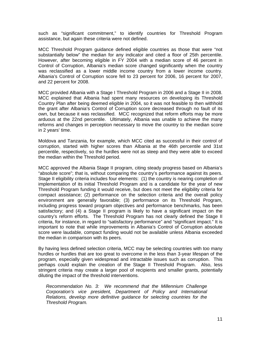such as "significant commitment," to identify countries for Threshold Program assistance, but again these criteria were not defined.

MCC Threshold Program guidance defined eligible countries as those that were "not substantially below" the median for any indicator and cited a floor of 25th percentile. However, after becoming eligible in FY 2004 with a median score of 46 percent in Control of Corruption, Albania's median score changed significantly when the country was reclassified as a lower middle income country from a lower income country. Albania's Control of Corruption score fell to 23 percent for 2006, 16 percent for 2007, and 22 percent for 2008.

MCC provided Albania with a Stage I Threshold Program in 2006 and a Stage II in 2008. MCC explained that Albania had spent many resources on developing its Threshold Country Plan after being deemed eligible in 2004, so it was not feasible to then withhold the grant after Albania's Control of Corruption score decreased through no fault of its own, but because it was reclassified. MCC recognized that reform efforts may be more arduous at the 22nd percentile. Ultimately, Albania was unable to achieve the many reforms and changes in perception necessary to move the country to the median score in 2 years' time.

Moldova and Tanzania, for example, which MCC cited as successful in their control of corruption, started with higher scores than Albania at the 46th percentile and 31st percentile, respectively, so the hurdles were not as steep and they were able to exceed the median within the Threshold period.

MCC approved the Albania Stage II program, citing steady progress based on Albania's "absolute score"; that is, without comparing the country's performance against its peers. Stage II eligibility criteria includes four elements: (1) the country is nearing completion of implementation of its initial Threshold Program and is a candidate for the year of new Threshold Program funding it would receive, but does not meet the eligibility criteria for compact assistance; (2) performance on the selection criteria and the overall policy environment are generally favorable; (3) performance on its Threshold Program, including progress toward program objectives and performance benchmarks, has been satisfactory; and (4) a Stage II program is likely to have a significant impact on the country's reform efforts. The Threshold Program has not clearly defined the Stage II criteria, for instance, in regard to "satisfactory performance" and "significant impact." It is important to note that while improvements in Albania's Control of Corruption absolute score were laudable, compact funding would not be available unless Albania exceeded the median in comparison with its peers.

By having less defined selection criteria, MCC may be selecting countries with too many hurdles or hurdles that are too great to overcome in the less than 3-year lifespan of the program, especially given widespread and intractable issues such as corruption. This perhaps could explain the creation of the Stage II Threshold Program. Also, less stringent criteria may create a larger pool of recipients and smaller grants, potentially diluting the impact of the threshold interventions.

*Recommendation No. 3: We recommend that the Millennium Challenge Corporation's vice president, Department of Policy and International Relations, develop more definitive guidance for selecting countries for the Threshold Program.*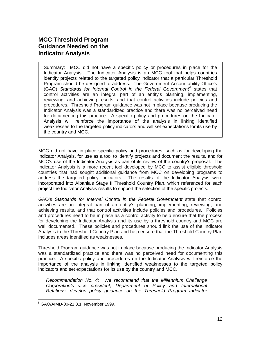#### **MCC Threshold Program Guidance Needed on the Indicator Analysis**

Summary: MCC did not have a specific policy or procedures in place for the Indicator Analysis. The Indicator Analysis is an MCC tool that helps countries identify projects related to the targeted policy indicator that a particular Threshold Program should be designed to address. The Government Accountability Office's (GAO) Standards for Internal Control in the Federal Government<sup>[6](#page-15-0)</sup> states that control activities are an integral part of an entity's planning, implementing, reviewing, and achieving results, and that control activities include policies and procedures. Threshold Program guidance was not in place because producing the Indicator Analysis was a standardized practice and there was no perceived need for documenting this practice. A specific policy and procedures on the Indicator Analysis will reinforce the importance of the analysis in linking identified weaknesses to the targeted policy indicators and will set expectations for its use by the country and MCC.

MCC did not have in place specific policy and procedures, such as for developing the Indicator Analysis, for use as a tool to identify projects and document the results, and for MCC's use of the Indicator Analysis as part of its review of the country's proposal. The Indicator Analysis is a more recent tool developed by MCC to assist eligible threshold countries that had sought additional guidance from MCC on developing programs to address the targeted policy indicators. The results of the Indicator Analysis were incorporated into Albania's Stage II Threshold Country Plan, which referenced for each project the Indicator Analysis results to support the selection of the specific projects.

GAO's *Standards for Internal Control in the Federal Government* state that control activities are an integral part of an entity's planning, implementing, reviewing, and achieving results, and that control activities include policies and procedures. Policies and procedures need to be in place as a control activity to help ensure that the process for developing the Indicator Analysis and its use by a threshold country and MCC are well documented. These policies and procedures should link the use of the Indicator Analysis to the Threshold Country Plan and help ensure that the Threshold Country Plan includes areas identified as weaknesses.

Threshold Program guidance was not in place because producing the Indicator Analysis was a standardized practice and there was no perceived need for documenting this practice. A specific policy and procedures on the Indicator Analysis will reinforce the importance of the analysis in linking identified weaknesses to the targeted policy indicators and set expectations for its use by the country and MCC.

*Recommendation No. 4: We recommend that the Millennium Challenge Corporation's vice president, Department of Policy and International Relations, develop policy guidance on the Threshold Program Indicator* 

-

<span id="page-15-0"></span><sup>6</sup> GAO/AIMD-00-21.3.1, November 1999.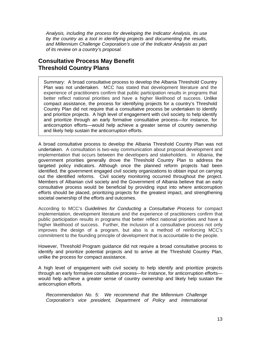*Analysis, including the process for developing the Indicator Analysis, its use by the country as a tool in identifying projects and documenting the results, and Millennium Challenge Corporation's use of the Indicator Analysis as part of its review on a country's proposal.* 

#### **Consultative Process May Benefit Threshold Country Plans**

Summary: A broad consultative process to develop the Albania Threshold Country Plan was not undertaken. MCC has stated that development literature and the experience of practitioners confirm that public participation results in programs that better reflect national priorities and have a higher likelihood of success. Unlike compact assistance, the process for identifying projects for a country's Threshold Country Plan did not require that a consultative process be undertaken to identify and prioritize projects. A high level of engagement with civil society to help identify and prioritize through an early formative consultative process—for instance, for anticorruption efforts—would help achieve a greater sense of country ownership and likely help sustain the anticorruption efforts.

A broad consultative process to develop the Albania Threshold Country Plan was not undertaken. A consultation is two-way communication about proposal development and implementation that occurs between the developers and stakeholders. In Albania, the government priorities generally drove the Threshold Country Plan to address the targeted policy indicators. Although once the planned reform projects had been identified, the government engaged civil society organizations to obtain input on carrying out the identified reforms. Civil society monitoring occurred throughout the project. Members of Albanian civil society and the Government of Albania believe that an early consultative process would be beneficial by providing input into where anticorruption efforts should be placed, prioritizing projects for the greatest impact, and strengthening societal ownership of the efforts and outcomes.

According to MCC's *Guidelines for Conducting a Consultative Process* for compact implementation, development literature and the experience of practitioners confirm that public participation results in programs that better reflect national priorities and have a higher likelihood of success. Further, the inclusion of a consultative process not only improves the design of a program, but also is a method of reinforcing MCC's commitment to the founding principle of development that is accountable to the people.

However, Threshold Program guidance did not require a broad consultative process to identify and prioritize potential projects and to arrive at the Threshold Country Plan, unlike the process for compact assistance.

A high level of engagement with civil society to help identify and prioritize projects through an early formative consultative process—for instance, for anticorruption efforts would help achieve a greater sense of country ownership and likely help sustain the anticorruption efforts.

*Recommendation No. 5: We recommend that the Millennium Challenge Corporation's vice president, Department of Policy and International*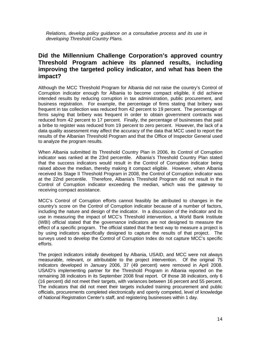*Relations, develop policy guidance on a consultative process and its use in developing Threshold Country Plans.* 

#### **Did the Millennium Challenge Corporation's approved country Threshold Program achieve its planned results, including improving the targeted policy indicator, and what has been the impact?**

Although the MCC Threshold Program for Albania did not raise the country's Control of Corruption indicator enough for Albania to become compact eligible, it did achieve intended results by reducing corruption in tax administration, public procurement, and business registration. For example, the percentage of firms stating that bribery was frequent in tax collection was reduced from 42 percent to 19 percent. The percentage of firms saying that bribery was frequent in order to obtain government contracts was reduced from 42 percent to 17 percent. Finally, the percentage of businesses that paid a bribe to register was reduced from 19 percent to zero percent. However, the lack of a data quality assessment may affect the accuracy of the data that MCC used to report the results of the Albanian Threshold Program and that the Office of Inspector General used to analyze the program results.

When Albania submitted its Threshold Country Plan in 2006, its Control of Corruption indicator was ranked at the 23rd percentile. Albania's Threshold Country Plan stated that the success indicators would result in the Control of Corruption indicator being raised above the median, thereby making it compact eligible. However, when Albania received its Stage II Threshold Program in 2008, the Control of Corruption indicator was at the 22nd percentile. Therefore, Albania's Threshold Program did not result in the Control of Corruption indicator exceeding the median, which was the gateway to receiving compact assistance.

MCC's Control of Corruption efforts cannot feasibly be attributed to changes in the country's score on the Control of Corruption indicator because of a number of factors, including the nature and design of the indicator. In a discussion of the indicator and its use in measuring the impact of MCC's Threshold intervention, a World Bank Institute (WBI) official stated that the governance indicators are not designed to measure the effect of a specific program. The official stated that the best way to measure a project is by using indicators specifically designed to capture the results of that project. The surveys used to develop the Control of Corruption Index do not capture MCC's specific efforts.

The project indicators initially developed by Albania, USAID, and MCC were not always measurable, relevant, or attributable to the project intervention. Of the original 75 indicators developed in January 2006, 37 (49 percent) were removed in April 2008. USAID's implementing partner for the Threshold Program in Albania reported on the remaining 38 indicators in its September 2008 final report. Of those 38 indicators, only 6 (16 percent) did not meet their targets, with variances between 16 percent and 55 percent. The indicators that did not meet their targets included training procurement and public officials, procurements completed electronically and openly competed, level of knowledge of National Registration Center's staff, and registering businesses within 1 day.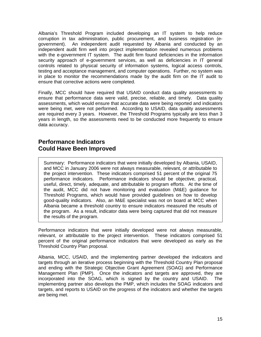Albania's Threshold Program included developing an IT system to help reduce corruption in tax administration, public procurement, and business registration (egovernment). An independent audit requested by Albania and conducted by an independent audit firm well into project implementation revealed numerous problems with the e-government IT system. The audit firm found deficiencies in the information security approach of e-government services, as well as deficiencies in IT general controls related to physical security of information systems, logical access controls, testing and acceptance management, and computer operations. Further, no system was in place to monitor the recommendations made by the audit firm on the IT audit to ensure that corrective actions were completed.

Finally, MCC should have required that USAID conduct data quality assessments to ensure that performance data were valid, precise, reliable, and timely. Data quality assessments, which would ensure that accurate data were being reported and indicators were being met, were not performed. According to USAID, data quality assessments are required every 3 years. However, the Threshold Programs typically are less than 3 years in length, so the assessments need to be conducted more frequently to ensure data accuracy.

#### **Performance Indicators Could Have Been Improved**

Summary: Performance indicators that were initially developed by Albania, USAID, and MCC in January 2006 were not always measurable, relevant, or attributable to the project intervention. These indicators comprised 51 percent of the original 75 performance indicators. Performance indicators should be objective, practical, useful, direct, timely, adequate, and attributable to program efforts. At the time of the audit, MCC did not have monitoring and evaluation (M&E) guidance for Threshold Programs, which would have provided guidelines on how to develop good-quality indicators. Also, an M&E specialist was not on board at MCC when Albania became a threshold country to ensure indicators measured the results of the program. As a result, indicator data were being captured that did not measure the results of the program.

Performance indicators that were initially developed were not always measurable, relevant, or attributable to the project intervention. These indicators comprised 51 percent of the original performance indicators that were developed as early as the Threshold Country Plan proposal.

Albania, MCC, USAID, and the implementing partner developed the indicators and targets through an iterative process beginning with the Threshold Country Plan proposal and ending with the Strategic Objective Grant Agreement (SOAG) and Performance Management Plan (PMP). Once the indicators and targets are approved, they are incorporated into the SOAG, which is signed by the country and USAID. The implementing partner also develops the PMP, which includes the SOAG indicators and targets, and reports to USAID on the progress of the indicators and whether the targets are being met.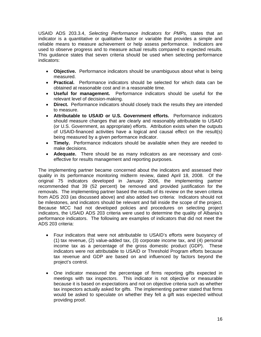USAID ADS 203.3.4, *Selecting Performance Indicators for PMPs,* states that an indicator is a quantitative or qualitative factor or variable that provides a simple and reliable means to measure achievement or help assess performance. Indicators are used to observe progress and to measure actual results compared to expected results. This guidance states that seven criteria should be used when selecting performance indicators:

- **Objective.** Performance indicators should be unambiguous about what is being measured.
- **Practical.** Performance indicators should be selected for which data can be obtained at reasonable cost and in a reasonable time.
- **Useful for management.** Performance indicators should be useful for the relevant level of decision-making.
- **Direct.** Performance indicators should closely track the results they are intended to measure.
- **Attributable to USAID or U.S. Government efforts.** Performance indicators should measure changes that are clearly and reasonably attributable to USAID (or U.S. Government, as appropriate) efforts. Attribution exists when the outputs of USAID-financed activities have a logical and causal effect on the result(s) being measured by a given performance indicator.
- **Timely.** Performance indicators should be available when they are needed to make decisions.
- **Adequate.** There should be as many indicators as are necessary and costeffective for results management and reporting purposes.

The implementing partner became concerned about the indicators and assessed their quality in its performance monitoring midterm review, dated April 18, 2008. Of the original 75 indicators developed in January 2006, the implementing partner recommended that 39 (52 percent) be removed and provided justification for the removals. The implementing partner based the results of its review on the seven criteria from ADS 203 (as discussed above) and also added two criteria: Indicators should not be milestones, and indicators should be relevant and fall inside the scope of the project. Because MCC had not developed policies and procedures on selecting project indicators, the USAID ADS 203 criteria were used to determine the quality of Albania's performance indicators. The following are examples of indicators that did not meet the ADS 203 criteria:

- Four indicators that were not attributable to USAID's efforts were buoyancy of (1) tax revenue, (2) value-added tax, (3) corporate income tax, and (4) personal income tax as a percentage of the gross domestic product (GDP). These indicators were not attributable to USAID or Threshold Program efforts because tax revenue and GDP are based on and influenced by factors beyond the project's control.
- One indicator measured the percentage of firms reporting gifts expected in meetings with tax inspectors. This indicator is not objective or measurable because it is based on expectations and not on objective criteria such as whether tax inspectors actually asked for gifts. The implementing partner stated that firms would be asked to speculate on whether they felt a gift was expected without providing proof.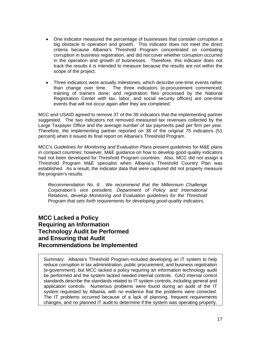- One indicator measured the percentage of businesses that consider corruption a big obstacle to operation and growth. This indicator does not meet the direct criteria because Albania's Threshold Program concentrated on combating corruption in business registration, and did not cover whether corruption occurred in the operation and growth of businesses. Therefore, this indicator does not track the results it is intended to measure because the results are not within the scope of the project.
- Three indicators were actually milestones, which describe one-time events rather than change over time. The three indicators (e-procurement commenced; training of trainers done; and registration files processed by the National Registration Center with tax, labor, and social security offices) are one-time events that will not occur again after they are completed.

MCC and USAID agreed to remove 37 of the 39 indicators that the implementing partner suggested. The two indicators not removed measured tax revenues collected by the Large Taxpayer Office and the average number of tax payments paid per firm per year. Therefore, the implementing partner reported on 38 of the original 75 indicators (51 percent) when it issued its final report on Albania's Threshold Program.

MCC's *Guidelines for Monitoring and Evaluation Plans* present guidelines for M&E plans in compact countries; however, M&E guidance on how to develop good quality indicators had not been developed for Threshold Program countries. Also, MCC did not assign a Threshold Program M&E specialist when Albania's Threshold Country Plan was established. As a result, the indicator data that were captured did not properly measure the program's results.

*Recommendation No. 6*: *We recommend that the Millennium Challenge Corporation's vice president, Department of Policy and International Relations, develop Monitoring and Evaluation guidelines for the Threshold Program that sets forth requirements for developing good-quality indicators.* 

#### **MCC Lacked a Policy Requiring an Information Technology Audit be Performed and Ensuring that Audit Recommendations be Implemented**

Summary: Albania's Threshold Program included developing an IT system to help reduce corruption in tax administration, public procurement, and business registration (e-government), but MCC lacked a policy requiring an information technology audit be performed and the system lacked needed internal controls. GAO internal control standards describe the standards related to IT system controls, including general and application controls. Numerous problems were found during an audit of the IT system requested by Albania, with no evidence that the problems were corrected. The IT problems occurred because of a lack of planning, frequent requirements changes, and no planned IT audit to determine if the system was operating properly.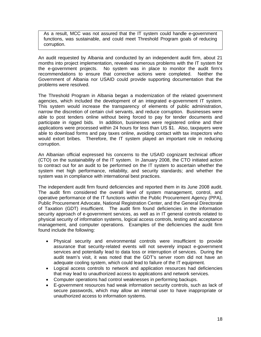As a result, MCC was not assured that the IT system could handle e-government functions, was sustainable, and could meet Threshold Program goals of reducing corruption.

An audit requested by Albania and conducted by an independent audit firm, about 21 months into project implementation, revealed numerous problems with the IT system for the e-government projects. No system was in place to monitor the audit firm's recommendations to ensure that corrective actions were completed. Neither the Government of Albania nor USAID could provide supporting documentation that the problems were resolved.

The Threshold Program in Albania began a modernization of the related government agencies, which included the development of an integrated e-government IT system. This system would increase the transparency of elements of public administration, narrow the discretion of certain civil servants, and reduce corruption. Businesses were able to post tenders online without being forced to pay for tender documents and participate in rigged bids. In addition, businesses were registered online and their applications were processed within 24 hours for less than US \$1. Also, taxpayers were able to download forms and pay taxes online, avoiding contact with tax inspectors who would extort bribes. Therefore, the IT system played an important role in reducing corruption.

An Albanian official expressed his concerns to the USAID cognizant technical officer (CTO) on the sustainability of the IT system. In January 2008, the CTO initiated action to contract out for an audit to be performed on the IT system to ascertain whether the system met high performance, reliability, and security standards; and whether the system was in compliance with international best practices.

The independent audit firm found deficiencies and reported them in its June 2008 audit. The audit firm considered the overall level of system management, control, and operative performance of the IT functions within the Public Procurement Agency (PPA), Public Procurement Advocate, National Registration Center, and the General Directorate of Taxation (GDT) insufficient. The audit firm found deficiencies in the information security approach of e-government services, as well as in IT general controls related to physical security of information systems, logical access controls, testing and acceptance management, and computer operations. Examples of the deficiencies the audit firm found include the following:

- Physical security and environmental controls were insufficient to provide assurance that security-related events will not severely impact e-government services and potentially lead to data loss or interruption of services. During the audit team's visit, it was noted that the GDT's server room did not have an adequate cooling system, which could lead to failure of the IT equipment.
- Logical access controls to network and application resources had deficiencies that may lead to unauthorized access to applications and network services.
- Computer operations had control weaknesses in performing backups.
- E-government resources had weak information security controls, such as lack of secure passwords, which may allow an internal user to have inappropriate or unauthorized access to information systems.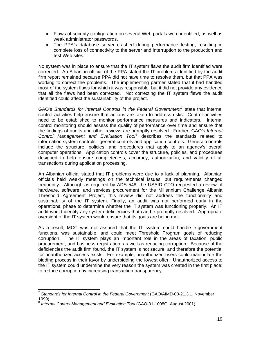- Flaws of security configuration on several Web portals were identified, as well as weak administrator passwords.
- The PPA's database server crashed during performance testing, resulting in complete loss of connectivity to the server and interruption to the production and test Web sites.

No system was in place to ensure that the IT system flaws the audit firm identified were corrected. An Albanian official of the PPA stated the IT problems identified by the audit firm report remained because PPA did not have time to resolve them, but that PPA was working to correct the problems. The implementing partner stated that it had handled most of the system flaws for which it was responsible, but it did not provide any evidence that all the flaws had been corrected. Not correcting the IT system flaws the audit identified could affect the sustainability of the project.

GAO's *Standards for Internal Controls in the Federal Government[7](#page-22-0)* state that internal control activities help ensure that actions are taken to address risks. Control activities need to be established to monitor performance measures and indicators. Internal control monitoring should assess the quality of performance over time and ensure that the findings of audits and other reviews are promptly resolved. Further, GAO's *Internal Control Management and Evaluation Tool*[8](#page-22-1) describes the standards related to information system controls: general controls and application controls. General controls include the structure, policies, and procedures that apply to an agency's overall computer operations. Application controls cover the structure, policies, and procedures designed to help ensure completeness, accuracy, authorization, and validity of all transactions during application processing.

An Albanian official stated that IT problems were due to a lack of planning. Albanian officials held weekly meetings on the technical issues, but requirements changed frequently. Although as required by ADS 548, the USAID CTO requested a review of hardware, software, and services procurement for the Millennium Challenge Albania Threshold Agreement Project, this review did not address the functionality and sustainability of the IT system. Finally, an audit was not performed early in the operational phase to determine whether the IT system was functioning properly. An IT audit would identify any system deficiencies that can be promptly resolved. Appropriate oversight of the IT system would ensure that its goals are being met.

As a result, MCC was not assured that the IT system could handle e-government functions, was sustainable, and could meet Threshold Program goals of reducing corruption. The IT system plays an important role in the areas of taxation, public procurement, and business registration, as well as reducing corruption. Because of the deficiencies the audit firm found, the IT system is not secure, and therefore the potential for unauthorized access exists. For example, unauthorized users could manipulate the bidding process in their favor by underbidding the lowest offer. Unauthorized access to the IT system could undermine the very reason the system was created in the first place: to reduce corruption by increasing transaction transparency.

<span id="page-22-0"></span> <sup>7</sup> *Standards for Internal Control in the Federal Government* (GAO/AIMD-00-21.3.1, November  $1999$ .

<span id="page-22-1"></span><sup>8</sup> *Internal Control Management and Evaluation Tool* (GAO-01-1008G, August 2001).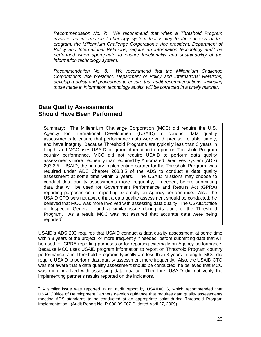*Recommendation No. 7*: *We recommend that when a Threshold Program involves an information technology system that is key to the success of the program, the Millennium Challenge Corporation's vice president, Department of Policy and International Relations, require an information technology audit be performed when appropriate to ensure functionality and sustainability of the information technology system.* 

*Recommendation No. 8: We recommend that the Millennium Challenge Corporation's vice president, Department of Policy and International Relations, develop a policy and procedures to ensure that audit recommendations, including those made in information technology audits, will be corrected in a timely manner.* 

#### **Data Quality Assessments Should Have Been Performed**

Summary: The Millennium Challenge Corporation (MCC) did require the U.S. Agency for International Development (USAID) to conduct data quality assessments to ensure that performance data were valid, precise, reliable, timely, and have integrity. Because Threshold Programs are typically less than 3 years in length, and MCC uses USAID program information to report on Threshold Program country performance, MCC did not require USAID to perform data quality assessments more frequently than required by Automated Directives System (ADS) 203.3.5. USAID, the primary implementing partner for the Threshold Program, was required under ADS Chapter 203.3.5 of the ADS to conduct a data quality assessment at some time within 3 years. The USAID Missions may choose to conduct data quality assessments more frequently, if needed, before submitting data that will be used for Government Performance and Results Act (GPRA) reporting purposes or for reporting externally on Agency performance. Also, the USAID CTO was not aware that a data quality assessment should be conducted; he believed that MCC was more involved with assessing data quality. The USAID/Office of Inspector General found a similar issue during its audit of the Threshold Program. As a result, MCC was not assured that accurate data were being reported<sup>[9](#page-23-0)</sup>.

USAID's ADS 203 requires that USAID conduct a data quality assessment at some time within 3 years of the project, or more frequently if needed, before submitting data that will be used for GPRA reporting purposes or for reporting externally on Agency performance. Because MCC uses USAID program information to report on Threshold Program country performance, and Threshold Programs typically are less than 3 years in length, MCC did require USAID to perform data quality assessment more frequently. Also, the USAID CTO was not aware that a data quality assessment should be conducted; he believed that MCC was more involved with assessing data quality. Therefore, USAID did not verify the implementing partner's results reported on the indicators.

<span id="page-23-0"></span>entify and the mannimorpole and the mannimorpole and the mannimorpole and the sequence of the sequence of the s<br>That is similar issue was reported in an audit report by USAID/OIG, which recommended that USAID/Office of Development Partners develop guidance that requires data quality assessments meeting ADS standards to be conducted at an appropriate point during Threshold Program implementation. (Audit Report No. P-000-09-007-P, dated April 27, 2009)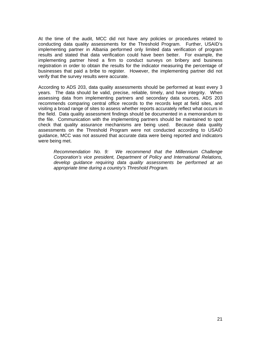At the time of the audit, MCC did not have any policies or procedures related to conducting data quality assessments for the Threshold Program. Further, USAID's implementing partner in Albania performed only limited data verification of program results and stated that data verification could have been better. For example, the implementing partner hired a firm to conduct surveys on bribery and business registration in order to obtain the results for the indicator measuring the percentage of businesses that paid a bribe to register. However, the implementing partner did not verify that the survey results were accurate.

According to ADS 203, data quality assessments should be performed at least every 3 years. The data should be valid, precise, reliable, timely, and have integrity. When assessing data from implementing partners and secondary data sources, ADS 203 recommends comparing central office records to the records kept at field sites, and visiting a broad range of sites to assess whether reports accurately reflect what occurs in the field. Data quality assessment findings should be documented in a memorandum to the file. Communication with the implementing partners should be maintained to spot check that quality assurance mechanisms are being used. Because data quality assessments on the Threshold Program were not conducted according to USAID guidance, MCC was not assured that accurate data were being reported and indicators were being met.

*Recommendation No. 9: We recommend that the Millennium Challenge Corporation's vice president, Department of Policy and International Relations, develop guidance requiring data quality assessments be performed at an appropriate time during a country's Threshold Program.*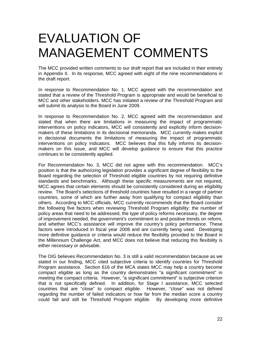### EVALUATION OF MANAGEMENT COMMENTS

The MCC provided written comments to our draft report that are included in their entirety in Appendix II. In its response, MCC agreed with eight of the nine recommendations in the draft report.

In response to Recommendation No. 1, MCC agreed with the recommendation and stated that a review of the Threshold Program is appropriate and would be beneficial to MCC and other stakeholders. MCC has initiated a review of the Threshold Program and will submit its analysis to the Board in June 2009.

In response to Recommendation No. 2, MCC agreed with the recommendation and stated that when there are limitations in measuring the impact of programmatic interventions on policy indicators, MCC will consistently and explicitly inform decisionmakers of these limitations in its decisional memoranda. MCC currently makes explicit in decisional documents the limitations of measuring the impact of programmatic interventions on policy indicators. MCC believes that this fully informs its decisionmakers on this issue, and MCC will develop guidance to ensure that this practice continues to be consistently applied.

For Recommendation No. 3, MCC did not agree with this recommendation. MCC's position is that the authorizing legislation provides a significant degree of flexibility to the Board regarding the selection of Threshold eligible countries by not requiring definitive standards and benchmarks. Although these specific measurements are not required, MCC agrees that certain elements should be consistently considered during an eligibility review. The Board's selections of threshold countries have resulted in a range of partner countries, some of which are further away from qualifying for compact eligibility than others. According to MCC officials, MCC currently recommends that the Board consider the following five factors when reviewing Threshold Program eligibility: the number of policy areas that need to be addressed, the type of policy reforms necessary, the degree of improvement needed, the government's commitment to and positive trends on reform, and whether MCC's assistance will improve the country's policy performance. These factors were introduced in fiscal year 2008 and are currently being used. Developing more definitive guidance or criteria would reduce the flexibility provided to the Board in the Millennium Challenge Act, and MCC does not believe that reducing this flexibility is either necessary or advisable.

The OIG believes Recommendation No. 3 is still a valid recommendation because as we stated in our finding, MCC cited subjective criteria to identify countries for Threshold Program assistance. Section 616 of the MCA states MCC may help a country become compact eligible as long as the country demonstrates "a significant commitment" in meeting the compact criteria. However, "a significant commitment" is subjective criterion that is not specifically defined. In addition, for Stage I assistance, MCC selected countries that are "close" to compact eligible. However, "close" was not defined regarding the number of failed indicators or how far from the median score a country could fall and still be Threshold Program eligible. By developing more definitive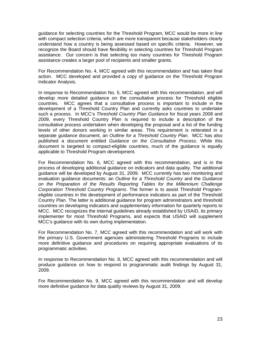guidance for selecting countries for the Threshold Program, MCC would be more in line with compact selection criteria, which are more transparent because stakeholders clearly understand how a country is being assessed based on specific criteria. However, we recognize the Board should have flexibility in selecting countries for Threshold Program assistance. Our concern is that selecting too many countries for Threshold Program assistance creates a larger pool of recipients and smaller grants.

For Recommendation No. 4, MCC agreed with this recommendation and has taken final action. MCC developed and provided a copy of guidance on the Threshold Program Indicator Analysis.

In response to Recommendation No. 5, MCC agreed with this recommendation, and will develop more detailed guidance on the consultative process for Threshold eligible countries. MCC agrees that a consultative process is important to include in the development of a Threshold Country Plan and currently asks countries to undertake such a process. In MCC's *Threshold Country Plan Guidance* for fiscal years 2008 and 2009, every Threshold Country Plan is required to include a description of the consultative process undertaken when developing the proposal and a list of the funding levels of other donors working in similar areas. This requirement is reiterated in a separate guidance document, an *Outline for a Threshold Country Plan*. MCC has also published a document entitled *Guidance on the Consultative Process*. While this document is targeted to compact-eligible countries, much of the guidance is equally applicable to Threshold Program development.

For Recommendation No. 6, MCC agreed with this recommendation, and is in the process of developing additional guidance on indicators and data quality. The additional guidance will be developed by August 31, 2009. MCC currently has two monitoring and evaluation guidance documents: an *Outline for a Threshold Country* and the *Guidance on the Preparation of the Results Reporting Tables for the Millennium Challenge Corporation Threshold Country Programs*. The former is to assist Threshold Programeligible countries in the development of performance indicators as part of the Threshold Country Plan. The latter is additional guidance for program administrators and threshold countries on developing indicators and supplementary information for quarterly reports to MCC. MCC recognizes the internal guidelines already established by USAID, its primary implementer for most Threshold Programs, and expects that USAID will supplement MCC's guidance with its own during implementation.

For Recommendation No. 7, MCC agreed with this recommendation and will work with the primary U.S. Government agencies administering Threshold Programs to include more definitive guidance and procedures on requiring appropriate evaluations of its programmatic activities.

In response to Recommendation No. 8, MCC agreed with this recommendation and will produce guidance on how to respond to programmatic audit findings by August 31, 2009.

For Recommendation No. 9, MCC agreed with this recommendation and will develop more definitive guidance for data quality reviews by August 31, 2009.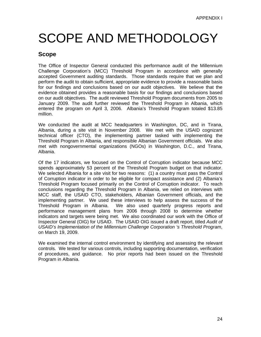## SCOPE AND METHODOLOGY

#### **Scope**

The Office of Inspector General conducted this performance audit of the Millennium Challenge Corporation's (MCC) Threshold Program in accordance with generally accepted Government auditing standards. Those standards require that we plan and perform the audit to obtain sufficient, appropriate evidence to provide a reasonable basis for our findings and conclusions based on our audit objectives. We believe that the evidence obtained provides a reasonable basis for our findings and conclusions based on our audit objectives. The audit reviewed Threshold Program documents from 2005 to January 2009. The audit further reviewed the Threshold Program in Albania, which entered the program on April 3, 2006. Albania's Threshold Program totaled \$13.85 million.

We conducted the audit at MCC headquarters in Washington, DC, and in Tirana, Albania, during a site visit in November 2008. We met with the USAID cognizant technical officer (CTO), the implementing partner tasked with implementing the Threshold Program in Albania, and responsible Albanian Government officials. We also met with nongovernmental organizations (NGOs) in Washington, D.C., and Tirana, Albania.

Of the 17 indicators, we focused on the Control of Corruption indicator because MCC spends approximately 53 percent of the Threshold Program budget on that indicator. We selected Albania for a site visit for two reasons: (1) a country must pass the Control of Corruption indicator in order to be eligible for compact assistance and (2) Albania's Threshold Program focused primarily on the Control of Corruption indicator. To reach conclusions regarding the Threshold Program in Albania, we relied on interviews with MCC staff, the USAID CTO, stakeholders, Albanian Government officials, and the implementing partner. We used these interviews to help assess the success of the Threshold Program in Albania. We also used quarterly progress reports and performance management plans from 2006 through 2008 to determine whether indicators and targets were being met. We also coordinated our work with the Office of Inspector General (OIG) for USAID. The USAID OIG issued a draft report, titled *Audit of USAID's Implementation of the Millennium Challenge Corporation 's Threshold Program*, on March 19, 2009.

We examined the internal control environment by identifying and assessing the relevant controls. We tested for various controls, including supporting documentation, verification of procedures, and guidance. No prior reports had been issued on the Threshold Program in Albania.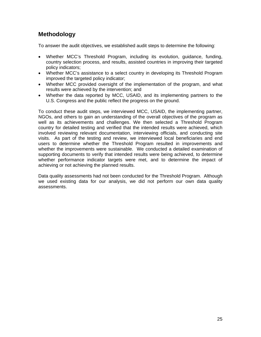#### **Methodology**

To answer the audit objectives, we established audit steps to determine the following:

- Whether MCC's Threshold Program, including its evolution, guidance, funding, country selection process, and results, assisted countries in improving their targeted policy indicators;
- Whether MCC's assistance to a select country in developing its Threshold Program improved the targeted policy indicator;
- Whether MCC provided oversight of the implementation of the program, and what results were achieved by the intervention; and
- Whether the data reported by MCC, USAID, and its implementing partners to the U.S. Congress and the public reflect the progress on the ground.

To conduct these audit steps, we interviewed MCC, USAID, the implementing partner, NGOs, and others to gain an understanding of the overall objectives of the program as well as its achievements and challenges. We then selected a Threshold Program country for detailed testing and verified that the intended results were achieved, which involved reviewing relevant documentation, interviewing officials, and conducting site visits. As part of the testing and review, we interviewed local beneficiaries and end users to determine whether the Threshold Program resulted in improvements and whether the improvements were sustainable. We conducted a detailed examination of supporting documents to verify that intended results were being achieved, to determine whether performance indicator targets were met, and to determine the impact of achieving or not achieving the planned results.

Data quality assessments had not been conducted for the Threshold Program. Although we used existing data for our analysis, we did not perform our own data quality assessments.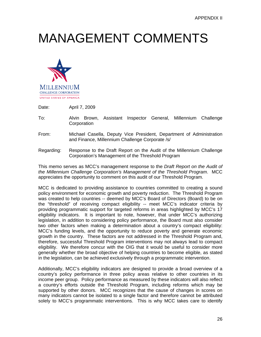### MANAGEMENT COMMENTS



Date: April 7, 2009

- To: Alvin Brown, Assistant Inspector General, Millennium Challenge **Corporation**
- From: Michael Casella, Deputy Vice President, Department of Administration and Finance, Millennium Challenge Corporate /s/
- Regarding: Response to the Draft Report on the Audit of the Millennium Challenge Corporation's Management of the Threshold Program

This memo serves as MCC's management response to the *Draft Report on the Audit of the Millennium Challenge Corporation's Management of the Threshold Program*. MCC appreciates the opportunity to comment on this audit of our Threshold Program.

MCC is dedicated to providing assistance to countries committed to creating a sound policy environment for economic growth and poverty reduction. The Threshold Program was created to help countries -- deemed by MCC's Board of Directors (Board) to be on the "threshold" of receiving compact eligibility -- meet MCC's indicator criteria by providing programmatic support for targeted reforms in areas highlighted by MCC's 17 eligibility indicators. It is important to note, however, that under MCC's authorizing legislation, in addition to considering policy performance, the Board must also consider two other factors when making a determination about a country's compact eligibility: MCC's funding levels, and the opportunity to reduce poverty and generate economic growth in the country. These factors are not addressed in the Threshold Program and, therefore, successful Threshold Program interventions may not always lead to compact eligibility. We therefore concur with the OIG that it would be useful to consider more generally whether the broad objective of helping countries to become eligible, as stated in the legislation, can be achieved exclusively through a programmatic intervention.

Additionally, MCC's eligibility indicators are designed to provide a broad overview of a country's policy performance in three policy areas relative to other countries in its income peer group. Policy performance as measured by these indicators will also reflect a country's efforts outside the Threshold Program, including reforms which may be supported by other donors. MCC recognizes that the cause of changes in scores on many indicators cannot be isolated to a single factor and therefore cannot be attributed solely to MCC's programmatic interventions. This is why MCC takes care to identify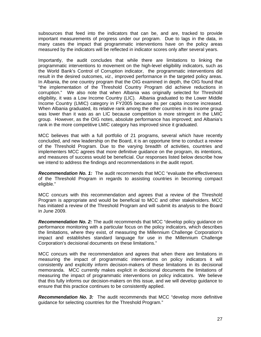subsources that feed into the indicators that can be, and are, tracked to provide important measurements of progress under our program. Due to lags in the data, in many cases the impact that programmatic interventions have on the policy areas measured by the indicators will be reflected in indicator scores only after several years.

Importantly, the audit concludes that while there are limitations to linking the programmatic interventions to movement on the high-level eligibility indicators, such as the World Bank's Control of Corruption indicator, the programmatic interventions did result in the desired outcomes, *viz.,* improved performance in the targeted policy areas. In Albania, the one country program that the OIG examined in depth, the OIG found that "the implementation of the Threshold Country Program did achieve reductions in corruption." We also note that when Albania was originally selected for Threshold eligibility, it was a Low Income Country (LIC). Albania graduated to the Lower Middle Income Country (LMIC) category in FY2005 because its per capita income increased. When Albania graduated, its relative rank among the other countries in its income group was lower than it was as an LIC because competition is more stringent in the LMIC group. However, as the OIG notes, absolute performance has improved; and Albania's rank in the more competitive LMIC category has improved since it graduated.

MCC believes that with a full portfolio of 21 programs, several which have recently concluded, and new leadership on the Board, it is an opportune time to conduct a review of the Threshold Program. Due to the varying breadth of activities, countries and implementers MCC agrees that more definitive guidance on the program, its intentions, and measures of success would be beneficial. Our responses listed below describe how we intend to address the findings and recommendations in the audit report.

*Recommendation No. 1:* The audit recommends that MCC "evaluate the effectiveness of the Threshold Program in regards to assisting countries in becoming compact eligible."

MCC concurs with this recommendation and agrees that a review of the Threshold Program is appropriate and would be beneficial to MCC and other stakeholders. MCC has initiated a review of the Threshold Program and will submit its analysis to the Board in June 2009.

*Recommendation No. 2:* The audit recommends that MCC "develop policy guidance on performance monitoring with a particular focus on the policy indicators, which describes the limitations, where they exist, of measuring the Millennium Challenge Corporation's impact and establishes standard language for use in the Millennium Challenge Corporation's decisional documents on these limitations."

MCC concurs with the recommendation and agrees that when there are limitations in measuring the impact of programmatic interventions on policy indicators it will consistently and explicitly inform decision-makers of these limitations in its decisional memoranda. MCC currently makes explicit in decisional documents the limitations of measuring the impact of programmatic interventions on policy indicators. We believe that this fully informs our decision-makers on this issue, and we will develop guidance to ensure that this practice continues to be consistently applied.

**Recommendation No. 3:** The audit recommends that MCC "develop more definitive guidance for selecting countries for the Threshold Program*.*"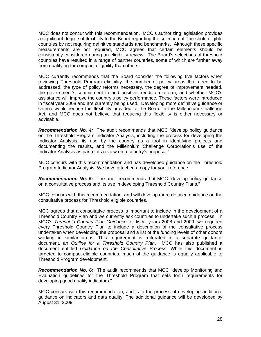MCC does not concur with this recommendation. MCC's authorizing legislation provides a significant degree of flexibility to the Board regarding the selection of Threshold eligible countries by not requiring definitive standards and benchmarks. Although these specific measurements are not required, MCC agrees that certain elements should be consistently considered during an eligibility review. The Board's selections of threshold countries have resulted in a range of partner countries, some of which are further away from qualifying for compact eligibility than others.

MCC currently recommends that the Board consider the following five factors when reviewing Threshold Program eligibility: the number of policy areas that need to be addressed, the type of policy reforms necessary, the degree of improvement needed, the government's commitment to and positive trends on reform, and whether MCC's assistance will improve the country's policy performance. These factors were introduced in fiscal year 2008 and are currently being used. Developing more definitive guidance or criteria would reduce the flexibility provided to the Board in the Millennium Challenge Act, and MCC does not believe that reducing this flexibility is either necessary or advisable.

*Recommendation No. 4:* The audit recommends that MCC *"*develop policy guidance on the Threshold Program Indicator Analysis, including the process for developing the Indicator Analysis, its use by the country as a tool in identifying projects and documenting the results, and the Millennium Challenge Corporation's use of the Indicator Analysis as part of its review on a country's proposal."

MCC concurs with this recommendation and has developed guidance on the Threshold Program Indicator Analysis. We have attached a copy for your reference.

*Recommendation No. 5:* The audit recommends that MCC "develop policy guidance on a consultative process and its use in developing Threshold Country Plans."

MCC concurs with this recommendation, and will develop more detailed guidance on the consultative process for Threshold eligible countries.

MCC agrees that a consultative process is important to include in the development of a Threshold Country Plan and we currently ask countries to undertake such a process. In MCC's *Threshold Country Plan Guidance* for fiscal years 2008 and 2009, we required every Threshold Country Plan to include a description of the consultative process undertaken when developing the proposal and a list of the funding levels of other donors working in similar areas. This requirement is reiterated in a separate guidance document, an *Outline for a Threshold Country Plan*. MCC has also published a document entitled *Guidance on the Consultative Process*. While this document is targeted to compact-eligible countries, much of the guidance is equally applicable to Threshold Program development.

**Recommendation No. 6:** The audit recommends that MCC "develop Monitoring and Evaluation guidelines for the Threshold Program that sets forth requirements for developing good quality indicators."

MCC concurs with this recommendation, and is in the process of developing additional guidance on indicators and data quality. The additional guidance will be developed by August 31, 2009.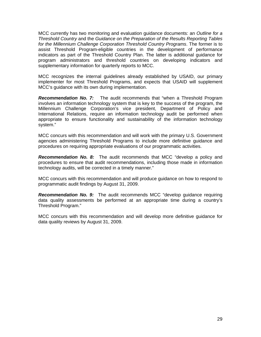MCC currently has two monitoring and evaluation guidance documents: an *Outline for a Threshold Country* and the *Guidance on the Preparation of the Results Reporting Tables for the Millennium Challenge Corporation Threshold Country Programs*. The former is to assist Threshold Program-eligible countries in the development of performance indicators as part of the Threshold Country Plan. The latter is additional guidance for program administrators and threshold countries on developing indicators and supplementary information for quarterly reports to MCC.

MCC recognizes the internal guidelines already established by USAID, our primary implementer for most Threshold Programs, and expects that USAID will supplement MCC's guidance with its own during implementation.

*Recommendation No. 7:* The audit recommends that "when a Threshold Program involves an information technology system that is key to the success of the program, the Millennium Challenge Corporation's vice president, Department of Policy and International Relations, require an information technology audit be performed when appropriate to ensure functionality and sustainability of the information technology system."

MCC concurs with this recommendation and will work with the primary U.S. Government agencies administering Threshold Programs to include more definitive guidance and procedures on requiring appropriate evaluations of our programmatic activities.

*Recommendation No. 8:* The audit recommends that MCC "develop a policy and procedures to ensure that audit recommendations, including those made in information technology audits, will be corrected in a timely manner."

MCC concurs with this recommendation and will produce guidance on how to respond to programmatic audit findings by August 31, 2009.

*Recommendation No. 9:* The audit recommends MCC "develop guidance requiring data quality assessments be performed at an appropriate time during a country's Threshold Program."

MCC concurs with this recommendation and will develop more definitive guidance for data quality reviews by August 31, 2009.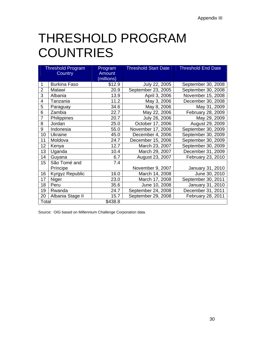### THRESHOLD PROGRAM **COUNTRIES**

|                | <b>Threshold Program</b> | Program    | <b>Threshold Start Date</b> | <b>Threshold End Date</b> |
|----------------|--------------------------|------------|-----------------------------|---------------------------|
| Country        |                          | Amount     |                             |                           |
|                |                          | (millions) |                             |                           |
| 1              | <b>Burkina Faso</b>      | \$12.9     | July 22, 2005               | September 30, 2008        |
| $\overline{2}$ | Malawi                   | 20.9       | September 23, 2005          | September 30, 2008        |
| 3              | Albania                  | 13.9       | April 3, 2006               | November 15, 2008         |
| 4              | Tanzania                 | 11.2       | May 3, 2006                 | December 30, 2008         |
| 5              | Paraguay                 | 34.6       | May 8, 2006                 | May 31, 2009              |
| $\overline{6}$ | Zambia                   | 22.7       | May 22, 2006                | February 28, 2009         |
| $\overline{7}$ | Philippines              | 20.7       | July 26, 2006               | May 29, 2009              |
| 8              | Jordan                   | 25.0       | October 17, 2006            | August 29, 2009           |
| 9              | Indonesia                | 55.0       | November 17, 2006           | September 30, 2009        |
| 10             | Ukraine                  | 45.0       | December 4, 2006            | September 30, 2009        |
| 11             | Moldova                  | 24.7       | December 15, 2006           | September 30, 2009        |
| 12             | Kenya                    | 12.7       | March 23, 2007              | September 30, 2009        |
| 13             | Uganda                   | 10.4       | March 29, 2007              | December 31, 2009         |
| 14             | Guyana                   | 6.7        | August 23, 2007             | February 23, 2010         |
| 15             | São Tomé and             | 7.4        |                             |                           |
|                | Príncipe                 |            | November 9, 2007            | January 31, 2010          |
| 16             | Kyrgyz Republic          | 16.0       | March 14, 2008              | June 30, 2010             |
| 17             | Niger                    | 23.0       | March 17, 2008              | September 30, 2011        |
| 18             | Peru                     | 35.6       | June 10, 2008               | January 31, 2010          |
| 19             | Rwanda                   | 24.7       | September 24, 2008          | December 31, 2011         |
| 20             | Albania Stage II         | 15.7       | September 29, 2008          | February 28, 2011         |
| Total          |                          | \$438.8    |                             |                           |

Source: OIG based on Millennium Challenge Corporation data.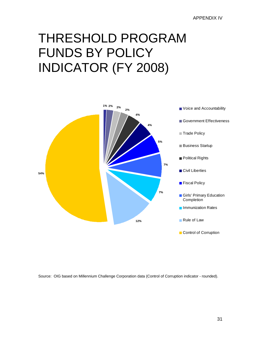### THRESHOLD PROGRAM FUNDS BY POLICY INDICATOR (FY 2008)



Source: OIG based on Millennium Challenge Corporation data (Control of Corruption indicator - rounded).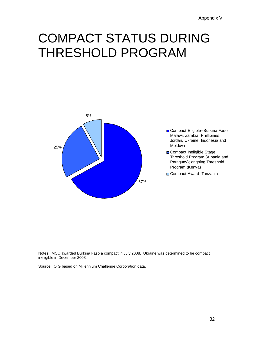### COMPACT STATUS DURING THRESHOLD PROGRAM



Notes: MCC awarded Burkina Faso a compact in July 2008. Ukraine was determined to be compact ineligible in December 2008.

Source: OIG based on Millennium Challenge Corporation data.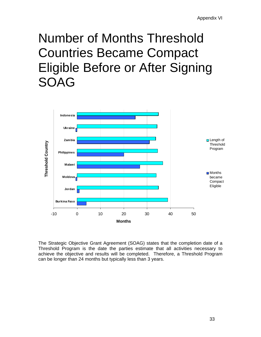### Number of Months Threshold Countries Became Compact Eligible Before or After Signing SOAG



The Strategic Objective Grant Agreement (SOAG) states that the completion date of a Threshold Program is the date the parties estimate that all activities necessary to achieve the objective and results will be completed. Therefore, a Threshold Program can be longer than 24 months but typically less than 3 years.